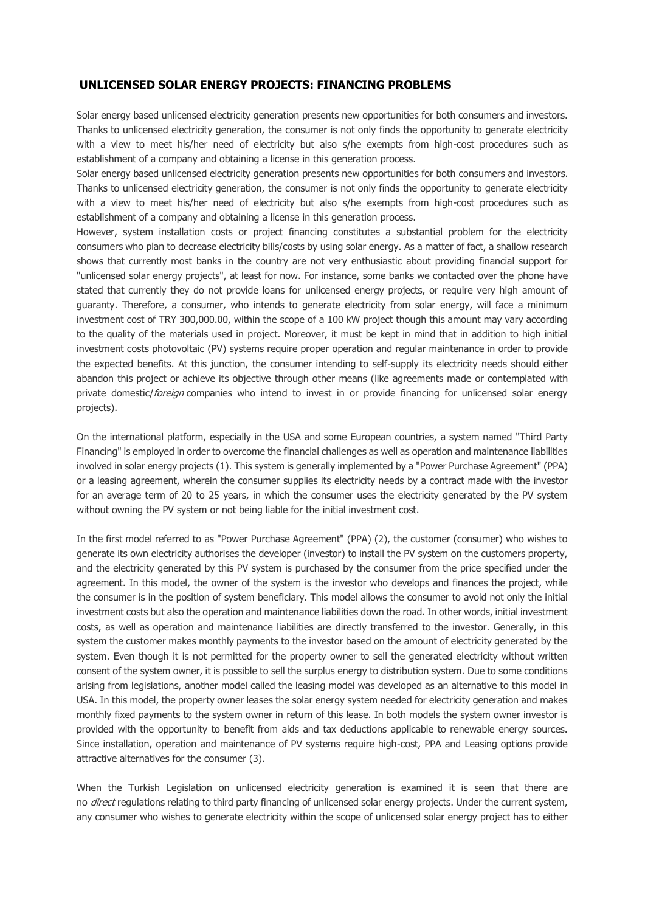## **UNLICENSED SOLAR ENERGY PROJECTS: FINANCING PROBLEMS**

Solar energy based unlicensed electricity generation presents new opportunities for both consumers and investors. Thanks to unlicensed electricity generation, the consumer is not only finds the opportunity to generate electricity with a view to meet his/her need of electricity but also s/he exempts from high-cost procedures such as establishment of a company and obtaining a license in this generation process.

Solar energy based unlicensed electricity generation presents new opportunities for both consumers and investors. Thanks to unlicensed electricity generation, the consumer is not only finds the opportunity to generate electricity with a view to meet his/her need of electricity but also s/he exempts from high-cost procedures such as establishment of a company and obtaining a license in this generation process.

However, system installation costs or project financing constitutes a substantial problem for the electricity consumers who plan to decrease electricity bills/costs by using solar energy. As a matter of fact, a shallow research shows that currently most banks in the country are not very enthusiastic about providing financial support for "unlicensed solar energy projects", at least for now. For instance, some banks we contacted over the phone have stated that currently they do not provide loans for unlicensed energy projects, or require very high amount of guaranty. Therefore, a consumer, who intends to generate electricity from solar energy, will face a minimum investment cost of TRY 300,000.00, within the scope of a 100 kW project though this amount may vary according to the quality of the materials used in project. Moreover, it must be kept in mind that in addition to high initial investment costs photovoltaic (PV) systems require proper operation and regular maintenance in order to provide the expected benefits. At this junction, the consumer intending to self-supply its electricity needs should either abandon this project or achieve its objective through other means (like agreements made or contemplated with private domestic/*foreign* companies who intend to invest in or provide financing for unlicensed solar energy projects).

On the international platform, especially in the USA and some European countries, a system named "Third Party Financing" is employed in order to overcome the financial challenges as well as operation and maintenance liabilities involved in solar energy projects (1). This system is generally implemented by a "Power Purchase Agreement" (PPA) or a leasing agreement, wherein the consumer supplies its electricity needs by a contract made with the investor for an average term of 20 to 25 years, in which the consumer uses the electricity generated by the PV system without owning the PV system or not being liable for the initial investment cost.

In the first model referred to as "Power Purchase Agreement" (PPA) (2), the customer (consumer) who wishes to generate its own electricity authorises the developer (investor) to install the PV system on the customers property, and the electricity generated by this PV system is purchased by the consumer from the price specified under the agreement. In this model, the owner of the system is the investor who develops and finances the project, while the consumer is in the position of system beneficiary. This model allows the consumer to avoid not only the initial investment costs but also the operation and maintenance liabilities down the road. In other words, initial investment costs, as well as operation and maintenance liabilities are directly transferred to the investor. Generally, in this system the customer makes monthly payments to the investor based on the amount of electricity generated by the system. Even though it is not permitted for the property owner to sell the generated electricity without written consent of the system owner, it is possible to sell the surplus energy to distribution system. Due to some conditions arising from legislations, another model called the leasing model was developed as an alternative to this model in USA. In this model, the property owner leases the solar energy system needed for electricity generation and makes monthly fixed payments to the system owner in return of this lease. In both models the system owner investor is provided with the opportunity to benefit from aids and tax deductions applicable to renewable energy sources. Since installation, operation and maintenance of PV systems require high-cost, PPA and Leasing options provide attractive alternatives for the consumer (3).

When the Turkish Legislation on unlicensed electricity generation is examined it is seen that there are no *direct* regulations relating to third party financing of unlicensed solar energy projects. Under the current system, any consumer who wishes to generate electricity within the scope of unlicensed solar energy project has to either